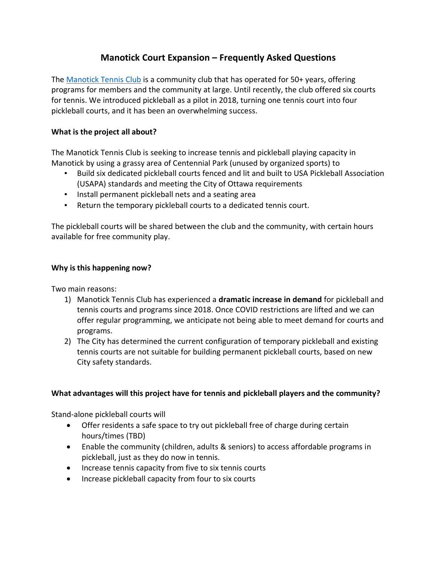# **Manotick Court Expansion – Frequently Asked Questions**

The [Manotick Tennis Club](https://www.manoticktennisclub.com/) is a community club that has operated for 50+ years, offering programs for members and the community at large. Until recently, the club offered six courts for tennis. We introduced pickleball as a pilot in 2018, turning one tennis court into four pickleball courts, and it has been an overwhelming success.

## **What is the project all about?**

The Manotick Tennis Club is seeking to increase tennis and pickleball playing capacity in Manotick by using a grassy area of Centennial Park (unused by organized sports) to

- Build six dedicated pickleball courts fenced and lit and built to USA Pickleball Association (USAPA) standards and meeting the City of Ottawa requirements
- Install permanent pickleball nets and a seating area
- Return the temporary pickleball courts to a dedicated tennis court.

The pickleball courts will be shared between the club and the community, with certain hours available for free community play.

### **Why is this happening now?**

Two main reasons:

- 1) Manotick Tennis Club has experienced a **dramatic increase in demand** for pickleball and tennis courts and programs since 2018. Once COVID restrictions are lifted and we can offer regular programming, we anticipate not being able to meet demand for courts and programs.
- 2) The City has determined the current configuration of temporary pickleball and existing tennis courts are not suitable for building permanent pickleball courts, based on new City safety standards.

### **What advantages will this project have for tennis and pickleball players and the community?**

Stand-alone pickleball courts will

- Offer residents a safe space to try out pickleball free of charge during certain hours/times (TBD)
- Enable the community (children, adults & seniors) to access affordable programs in pickleball, just as they do now in tennis.
- Increase tennis capacity from five to six tennis courts
- Increase pickleball capacity from four to six courts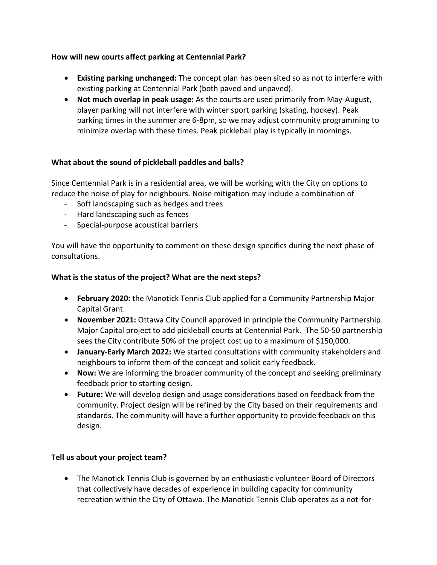### **How will new courts affect parking at Centennial Park?**

- **Existing parking unchanged:** The concept plan has been sited so as not to interfere with existing parking at Centennial Park (both paved and unpaved).
- **Not much overlap in peak usage:** As the courts are used primarily from May-August, player parking will not interfere with winter sport parking (skating, hockey). Peak parking times in the summer are 6-8pm, so we may adjust community programming to minimize overlap with these times. Peak pickleball play is typically in mornings.

### **What about the sound of pickleball paddles and balls?**

Since Centennial Park is in a residential area, we will be working with the City on options to reduce the noise of play for neighbours. Noise mitigation may include a combination of

- Soft landscaping such as hedges and trees
- Hard landscaping such as fences
- Special-purpose acoustical barriers

You will have the opportunity to comment on these design specifics during the next phase of consultations.

#### **What is the status of the project? What are the next steps?**

- **February 2020:** the Manotick Tennis Club applied for a Community Partnership Major Capital Grant.
- **November 2021:** Ottawa City Council approved in principle the Community Partnership Major Capital project to add pickleball courts at Centennial Park. The 50-50 partnership sees the City contribute 50% of the project cost up to a maximum of \$150,000.
- **January-Early March 2022:** We started consultations with community stakeholders and neighbours to inform them of the concept and solicit early feedback.
- **Now:** We are informing the broader community of the concept and seeking preliminary feedback prior to starting design.
- **Future:** We will develop design and usage considerations based on feedback from the community. Project design will be refined by the City based on their requirements and standards. The community will have a further opportunity to provide feedback on this design.

### **Tell us about your project team?**

• The Manotick Tennis Club is governed by an enthusiastic volunteer Board of Directors that collectively have decades of experience in building capacity for community recreation within the City of Ottawa. The Manotick Tennis Club operates as a not-for-